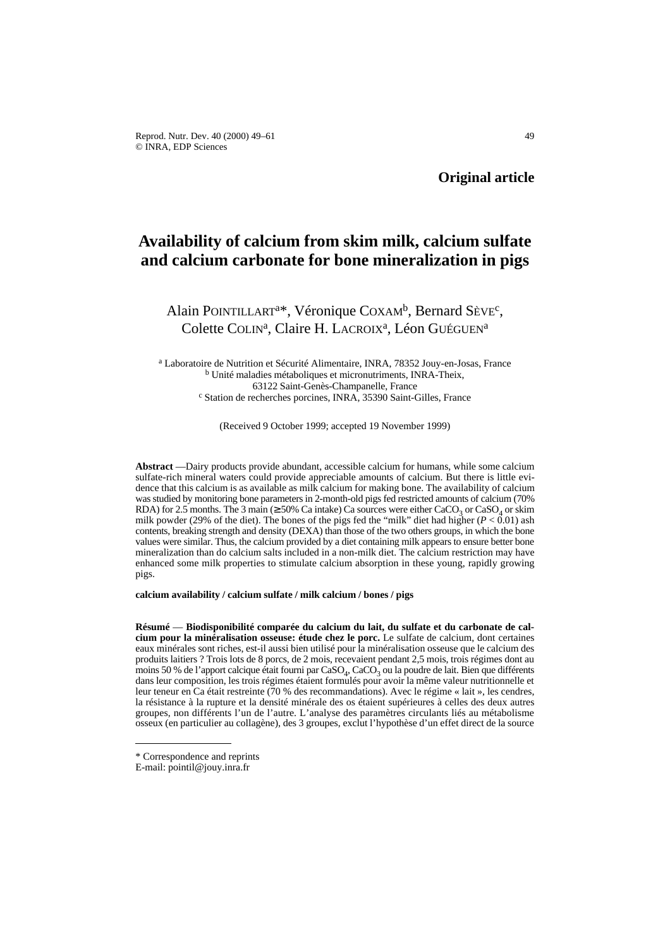# **Availability of calcium from skim milk, calcium sulfate and calcium carbonate for bone mineralization in pigs**

Alain POINTILLART<sup>a\*</sup>, Véronique COXAM<sup>b</sup>, Bernard Sève<sup>c</sup>, Colette COLIN<sup>a</sup>, Claire H. LACROIX<sup>a</sup>, Léon GUÉGUEN<sup>a</sup>

<sup>a</sup> Laboratoire de Nutrition et Sécurité Alimentaire, INRA, 78352 Jouy-en-Josas, France <sup>b</sup> Unité maladies métaboliques et micronutriments, INRA-Theix, 63122 Saint-Genès-Champanelle, France <sup>c</sup> Station de recherches porcines, INRA, 35390 Saint-Gilles, France

(Received 9 October 1999; accepted 19 November 1999)

**Abstract** —Dairy products provide abundant, accessible calcium for humans, while some calcium sulfate-rich mineral waters could provide appreciable amounts of calcium. But there is little evidence that this calcium is as available as milk calcium for making bone. The availability of calcium was studied by monitoring bone parameters in 2-month-old pigs fed restricted amounts of calcium (70% RDA) for 2.5 months. The 3 main ( $\geq$  50% Ca intake) Ca sources were either CaCO<sub>3</sub> or CaSO<sub>4</sub> or skim milk powder (29% of the diet). The bones of the pigs fed the "milk" diet had higher (*P* < 0.01) ash contents, breaking strength and density (DEXA) than those of the two others groups, in which the bone values were similar. Thus, the calcium provided by a diet containing milk appears to ensure better bone mineralization than do calcium salts included in a non-milk diet. The calcium restriction may have enhanced some milk properties to stimulate calcium absorption in these young, rapidly growing pigs.

**calcium availability / calcium sulfate / milk calcium / bones / pigs**

**Résumé** — **Biodisponibilité comparée du calcium du lait, du sulfate et du carbonate de calcium pour la minéralisation osseuse: étude chez le porc.** Le sulfate de calcium, dont certaines eaux minérales sont riches, est-il aussi bien utilisé pour la minéralisation osseuse que le calcium des produits laitiers ? Trois lots de 8 porcs, de 2 mois, recevaient pendant 2,5 mois, trois régimes dont au moins 50 % de l'apport calcique était fourni par  $CaSO_4$ , CaCO<sub>3</sub> ou la poudre de lait. Bien que différents dans leur composition, les trois régimes étaient formulés pour avoir la même valeur nutritionnelle et leur teneur en Ca était restreinte (70 % des recommandations). Avec le régime « lait », les cendres, la résistance à la rupture et la densité minérale des os étaient supérieures à celles des deux autres groupes, non différents l'un de l'autre. L'analyse des paramètres circulants liés au métabolisme osseux (en particulier au collagène), des 3 groupes, exclut l'hypothèse d'un effet direct de la source

<sup>\*</sup> Correspondence and reprints

E-mail: pointil@jouy.inra.fr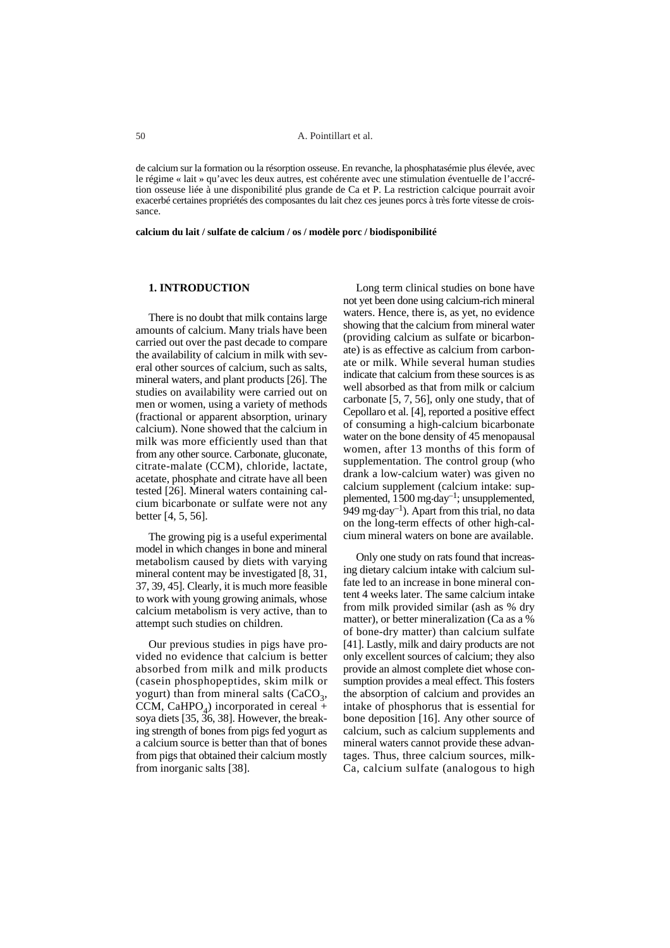de calcium sur la formation ou la résorption osseuse. En revanche, la phosphatasémie plus élevée, avec le régime « lait » qu'avec les deux autres, est cohérente avec une stimulation éventuelle de l'accrétion osseuse liée à une disponibilité plus grande de Ca et P. La restriction calcique pourrait avoir exacerbé certaines propriétés des composantes du lait chez ces jeunes porcs à très forte vitesse de croissance.

**calcium du lait / sulfate de calcium / os / modèle porc / biodisponibilité**

## **1. INTRODUCTION**

There is no doubt that milk contains large amounts of calcium. Many trials have been carried out over the past decade to compare the availability of calcium in milk with several other sources of calcium, such as salts, mineral waters, and plant products [26]. The studies on availability were carried out on men or women, using a variety of methods (fractional or apparent absorption, urinary calcium). None showed that the calcium in milk was more efficiently used than that from any other source. Carbonate, gluconate, citrate-malate (CCM), chloride, lactate, acetate, phosphate and citrate have all been tested [26]. Mineral waters containing calcium bicarbonate or sulfate were not any better [4, 5, 56].

The growing pig is a useful experimental model in which changes in bone and mineral metabolism caused by diets with varying mineral content may be investigated [8, 31, 37, 39, 45]. Clearly, it is much more feasible to work with young growing animals, whose calcium metabolism is very active, than to attempt such studies on children.

Our previous studies in pigs have provided no evidence that calcium is better absorbed from milk and milk products (casein phosphopeptides, skim milk or yogurt) than from mineral salts  $(CaCO<sub>3</sub>)$ , CCM, CaHPO<sub>4</sub>) incorporated in cereal + soya diets [35, 36, 38]. However, the breaking strength of bones from pigs fed yogurt as a calcium source is better than that of bones from pigs that obtained their calcium mostly from inorganic salts [38].

Long term clinical studies on bone have not yet been done using calcium-rich mineral waters. Hence, there is, as yet, no evidence showing that the calcium from mineral water (providing calcium as sulfate or bicarbonate) is as effective as calcium from carbonate or milk. While several human studies indicate that calcium from these sources is as well absorbed as that from milk or calcium carbonate [5, 7, 56], only one study, that of Cepollaro et al. [4], reported a positive effect of consuming a high-calcium bicarbonate water on the bone density of 45 menopausal women, after 13 months of this form of supplementation. The control group (who drank a low-calcium water) was given no calcium supplement (calcium intake: supplemented, 1500 mg.day–1; unsupplemented, 949 mg $\cdot$ day<sup>-1</sup>). Apart from this trial, no data on the long-term effects of other high-calcium mineral waters on bone are available.

Only one study on rats found that increasing dietary calcium intake with calcium sulfate led to an increase in bone mineral content 4 weeks later. The same calcium intake from milk provided similar (ash as % dry matter), or better mineralization (Ca as a % of bone-dry matter) than calcium sulfate [41]. Lastly, milk and dairy products are not only excellent sources of calcium; they also provide an almost complete diet whose consumption provides a meal effect. This fosters the absorption of calcium and provides an intake of phosphorus that is essential for bone deposition [16]. Any other source of calcium, such as calcium supplements and mineral waters cannot provide these advantages. Thus, three calcium sources, milk-Ca, calcium sulfate (analogous to high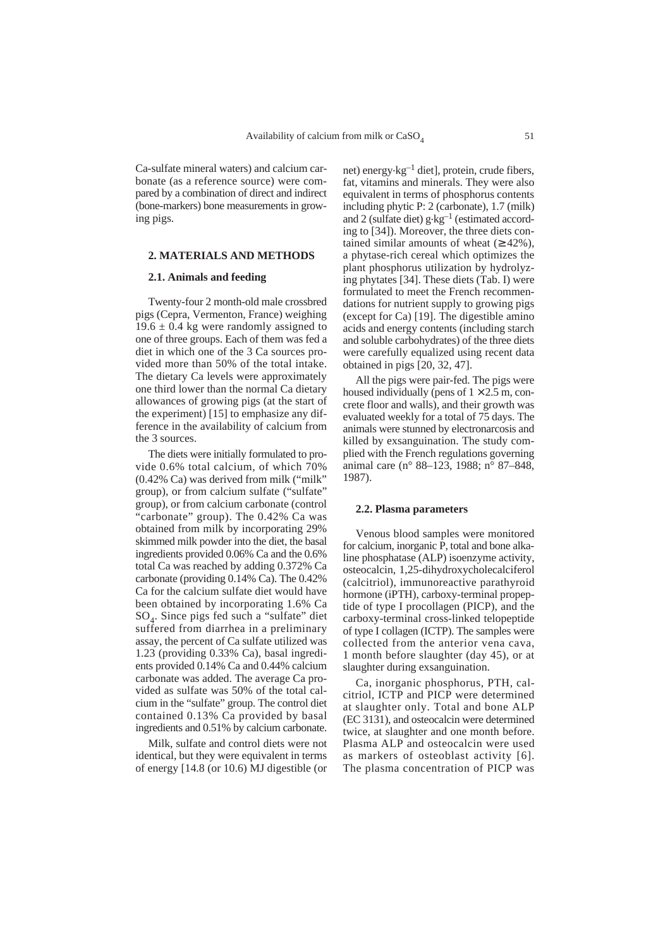Ca-sulfate mineral waters) and calcium carbonate (as a reference source) were compared by a combination of direct and indirect (bone-markers) bone measurements in growing pigs.

## **2. MATERIALS AND METHODS**

# **2.1. Animals and feeding**

Twenty-four 2 month-old male crossbred pigs (Cepra, Vermenton, France) weighing  $19.6 \pm 0.4$  kg were randomly assigned to one of three groups. Each of them was fed a diet in which one of the 3 Ca sources provided more than 50% of the total intake. The dietary Ca levels were approximately one third lower than the normal Ca dietary allowances of growing pigs (at the start of the experiment) [15] to emphasize any difference in the availability of calcium from the 3 sources.

The diets were initially formulated to provide 0.6% total calcium, of which 70% (0.42% Ca) was derived from milk ("milk" group), or from calcium sulfate ("sulfate" group), or from calcium carbonate (control 'carbonate" group). The 0.42% Ca was obtained from milk by incorporating 29% skimmed milk powder into the diet, the basal ingredients provided 0.06% Ca and the 0.6% total Ca was reached by adding 0.372% Ca carbonate (providing 0.14% Ca). The 0.42% Ca for the calcium sulfate diet would have been obtained by incorporating 1.6% Ca SO4. Since pigs fed such a "sulfate" diet suffered from diarrhea in a preliminary assay, the percent of Ca sulfate utilized was 1.23 (providing 0.33% Ca), basal ingredients provided 0.14% Ca and 0.44% calcium carbonate was added. The average Ca provided as sulfate was 50% of the total calcium in the "sulfate" group. The control diet contained 0.13% Ca provided by basal ingredients and 0.51% by calcium carbonate.

Milk, sulfate and control diets were not identical, but they were equivalent in terms of energy [14.8 (or 10.6) MJ digestible (or

net) energy $\cdot$ kg<sup>-1</sup> diet], protein, crude fibers, fat, vitamins and minerals. They were also equivalent in terms of phosphorus contents including phytic P: 2 (carbonate), 1.7 (milk) and 2 (sulfate diet) g.kg–1 (estimated according to [34]). Moreover, the three diets contained similar amounts of wheat  $(≥ 42%)$ . a phytase-rich cereal which optimizes the plant phosphorus utilization by hydrolyzing phytates [34]. These diets (Tab. I) were formulated to meet the French recommendations for nutrient supply to growing pigs (except for Ca) [19]. The digestible amino acids and energy contents (including starch and soluble carbohydrates) of the three diets were carefully equalized using recent data obtained in pigs [20, 32, 47].

All the pigs were pair-fed. The pigs were housed individually (pens of  $1 \times 2.5$  m, concrete floor and walls), and their growth was evaluated weekly for a total of 75 days. The animals were stunned by electronarcosis and killed by exsanguination. The study complied with the French regulations governing animal care (n° 88–123, 1988; n° 87–848, 1987).

#### **2.2. Plasma parameters**

Venous blood samples were monitored for calcium, inorganic P, total and bone alkaline phosphatase (ALP) isoenzyme activity, osteocalcin, 1,25-dihydroxycholecalciferol (calcitriol), immunoreactive parathyroid hormone (iPTH), carboxy-terminal propeptide of type I procollagen (PICP), and the carboxy-terminal cross-linked telopeptide of type I collagen (ICTP). The samples were collected from the anterior vena cava, 1 month before slaughter (day 45), or at slaughter during exsanguination.

Ca, inorganic phosphorus, PTH, calcitriol, ICTP and PICP were determined at slaughter only. Total and bone ALP (EC 3131), and osteocalcin were determined twice, at slaughter and one month before. Plasma ALP and osteocalcin were used as markers of osteoblast activity [6]. The plasma concentration of PICP was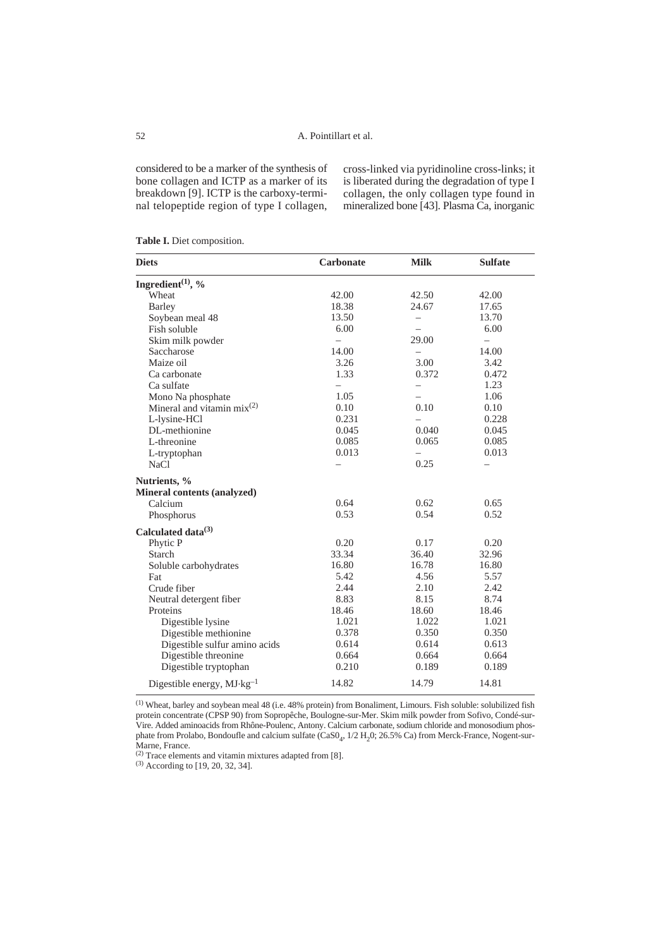considered to be a marker of the synthesis of bone collagen and ICTP as a marker of its breakdown [9]. ICTP is the carboxy-terminal telopeptide region of type I collagen, cross-linked via pyridinoline cross-links; it is liberated during the degradation of type I collagen, the only collagen type found in mineralized bone [43]. Plasma Ca, inorganic

|  | Table I. Diet composition. |
|--|----------------------------|
|  |                            |

| <b>Diets</b>                          | <b>Carbonate</b>         | <b>Milk</b>              | <b>Sulfate</b> |
|---------------------------------------|--------------------------|--------------------------|----------------|
| Ingredient $(1)$ , %                  |                          |                          |                |
| Wheat                                 | 42.00                    | 42.50                    | 42.00          |
| Barley                                | 18.38                    | 24.67                    | 17.65          |
| Soybean meal 48                       | 13.50                    | $\equiv$                 | 13.70          |
| Fish soluble                          | 6.00                     | $\overline{\phantom{0}}$ | 6.00           |
| Skim milk powder                      | $\overline{\phantom{0}}$ | 29.00                    |                |
| Saccharose                            | 14.00                    | $\overline{\phantom{0}}$ | 14.00          |
| Maize oil                             | 3.26                     | 3.00                     | 3.42           |
| Ca carbonate                          | 1.33                     | 0.372                    | 0.472          |
| Ca sulfate                            | $\overline{\phantom{0}}$ | $\qquad \qquad -$        | 1.23           |
| Mono Na phosphate                     | 1.05                     | $\overline{\phantom{0}}$ | 1.06           |
| Mineral and vitamin $mix^{(2)}$       | 0.10                     | 0.10                     | 0.10           |
| L-lysine-HCl                          | 0.231                    | $\overline{\phantom{0}}$ | 0.228          |
| DL-methionine                         | 0.045                    | 0.040                    | 0.045          |
| L-threonine                           | 0.085                    | 0.065                    | 0.085          |
| L-tryptophan                          | 0.013                    | $\qquad \qquad -$        | 0.013          |
| <b>NaCl</b>                           | $\overline{\phantom{0}}$ | 0.25                     |                |
| Nutrients, %                          |                          |                          |                |
| Mineral contents (analyzed)           |                          |                          |                |
| Calcium                               | 0.64                     | 0.62                     | 0.65           |
| Phosphorus                            | 0.53                     | 0.54                     | 0.52           |
| Calculated data <sup>(3)</sup>        |                          |                          |                |
| Phytic P                              | 0.20                     | 0.17                     | 0.20           |
| Starch                                | 33.34                    | 36.40                    | 32.96          |
| Soluble carbohydrates                 | 16.80                    | 16.78                    | 16.80          |
| Fat                                   | 5.42                     | 4.56                     | 5.57           |
| Crude fiber                           | 2.44                     | 2.10                     | 2.42           |
| Neutral detergent fiber               | 8.83                     | 8.15                     | 8.74           |
| Proteins                              | 18.46                    | 18.60                    | 18.46          |
| Digestible lysine                     | 1.021                    | 1.022                    | 1.021          |
| Digestible methionine                 | 0.378                    | 0.350                    | 0.350          |
| Digestible sulfur amino acids         | 0.614                    | 0.614                    | 0.613          |
| Digestible threonine                  | 0.664                    | 0.664                    | 0.664          |
| Digestible tryptophan                 | 0.210                    | 0.189                    | 0.189          |
| Digestible energy, $MJ \cdot kg^{-1}$ | 14.82                    | 14.79                    | 14.81          |

(1) Wheat, barley and soybean meal 48 (i.e. 48% protein) from Bonaliment, Limours. Fish soluble: solubilized fish protein concentrate (CPSP 90) from Sopropêche, Boulogne-sur-Mer. Skim milk powder from Sofivo, Condé-sur-Vire. Added aminoacids from Rhône-Poulenc, Antony. Calcium carbonate, sodium chloride and monosodium phosphate from Prolabo, Bondoufle and calcium sulfate (CaS0<sub>4</sub>, 1/2 H<sub>2</sub>0; 26.5% Ca) from Merck-France, Nogent-sur-Marne, France.

(2) Trace elements and vitamin mixtures adapted from [8].

(3) According to [19, 20, 32, 34].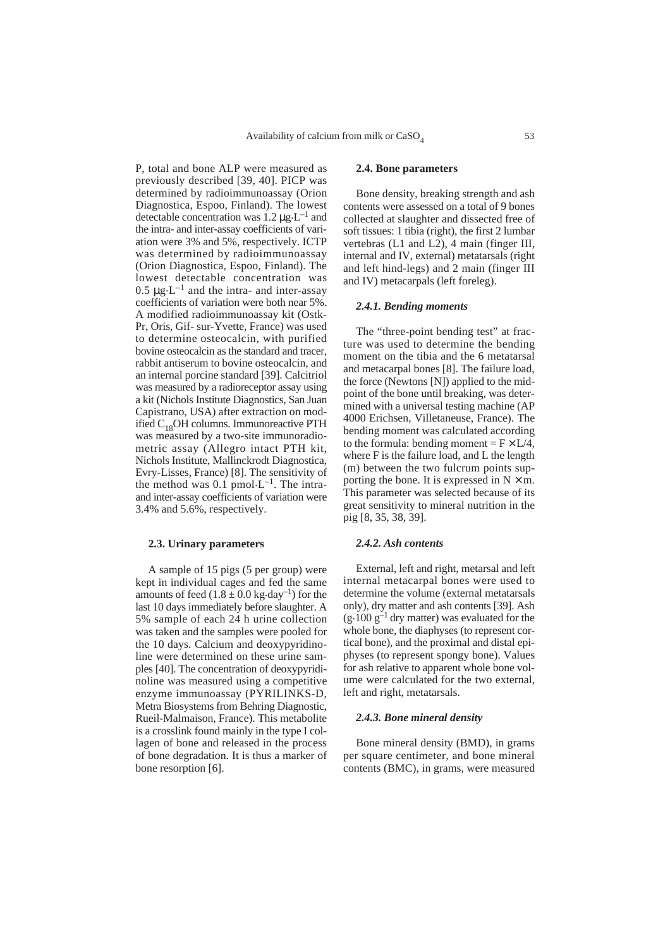P, total and bone ALP were measured as previously described [39, 40]. PICP was determined by radioimmunoassay (Orion Diagnostica, Espoo, Finland). The lowest detectable concentration was  $1.2 \mu g \cdot L^{-1}$  and the intra- and inter-assay coefficients of variation were 3% and 5%, respectively. ICTP was determined by radioimmunoassay (Orion Diagnostica, Espoo, Finland). The lowest detectable concentration was 0.5  $\mu$ g. L<sup>-1</sup> and the intra- and inter-assay coefficients of variation were both near 5%. A modified radioimmunoassay kit (Ostk-Pr, Oris, Gif- sur-Yvette, France) was used to determine osteocalcin, with purified bovine osteocalcin as the standard and tracer, rabbit antiserum to bovine osteocalcin, and an internal porcine standard [39]. Calcitriol was measured by a radioreceptor assay using a kit (Nichols Institute Diagnostics, San Juan Capistrano, USA) after extraction on modified C<sub>18</sub>OH columns. Immunoreactive PTH was measured by a two-site immunoradiometric assay (Allegro intact PTH kit, Nichols Institute, Mallinckrodt Diagnostica, Evry-Lisses, France) [8]. The sensitivity of the method was  $0.1$  pmol $\cdot L^{-1}$ . The intraand inter-assay coefficients of variation were 3.4% and 5.6%, respectively.

## **2.3. Urinary parameters**

A sample of 15 pigs (5 per group) were kept in individual cages and fed the same amounts of feed  $(1.8 \pm 0.0 \text{ kg day}^{-1})$  for the last 10 days immediately before slaughter. A 5% sample of each 24 h urine collection was taken and the samples were pooled for the 10 days. Calcium and deoxypyridinoline were determined on these urine samples [40]. The concentration of deoxypyridinoline was measured using a competitive enzyme immunoassay (PYRILINKS-D, Metra Biosystems from Behring Diagnostic, Rueil-Malmaison, France). This metabolite is a crosslink found mainly in the type I collagen of bone and released in the process of bone degradation. It is thus a marker of bone resorption [6].

# **2.4. Bone parameters**

Bone density, breaking strength and ash contents were assessed on a total of 9 bones collected at slaughter and dissected free of soft tissues: 1 tibia (right), the first 2 lumbar vertebras (L1 and L2), 4 main (finger III, internal and IV, external) metatarsals (right and left hind-legs) and 2 main (finger III and IV) metacarpals (left foreleg).

## *2.4.1. Bending moments*

The "three-point bending test" at fracture was used to determine the bending moment on the tibia and the 6 metatarsal and metacarpal bones [8]. The failure load, the force (Newtons [N]) applied to the midpoint of the bone until breaking, was determined with a universal testing machine (AP 4000 Erichsen, Villetaneuse, France). The bending moment was calculated according to the formula: bending moment =  $F \times L/4$ , where F is the failure load, and L the length (m) between the two fulcrum points supporting the bone. It is expressed in  $N \times m$ . This parameter was selected because of its great sensitivity to mineral nutrition in the pig [8, 35, 38, 39].

## *2.4.2. Ash contents*

External, left and right, metarsal and left internal metacarpal bones were used to determine the volume (external metatarsals only), dry matter and ash contents [39]. Ash  $(g.100 g<sup>-1</sup>$  dry matter) was evaluated for the whole bone, the diaphyses (to represent cortical bone), and the proximal and distal epiphyses (to represent spongy bone). Values for ash relative to apparent whole bone volume were calculated for the two external, left and right, metatarsals.

## *2.4.3. Bone mineral density*

Bone mineral density (BMD), in grams per square centimeter, and bone mineral contents (BMC), in grams, were measured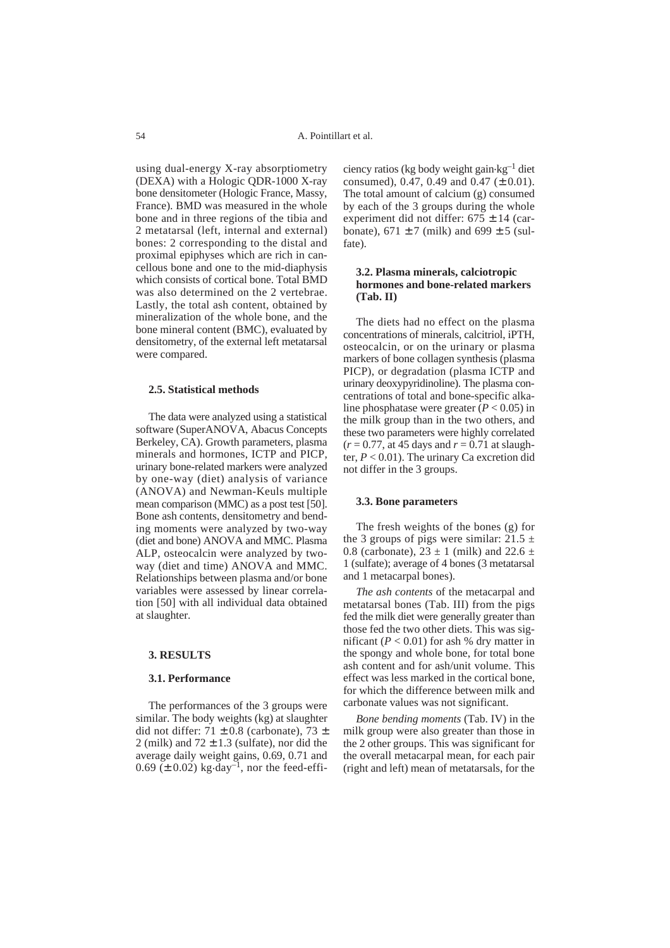using dual-energy X-ray absorptiometry (DEXA) with a Hologic QDR-1000 X-ray bone densitometer (Hologic France, Massy, France). BMD was measured in the whole bone and in three regions of the tibia and 2 metatarsal (left, internal and external) bones: 2 corresponding to the distal and proximal epiphyses which are rich in cancellous bone and one to the mid-diaphysis which consists of cortical bone. Total BMD was also determined on the 2 vertebrae. Lastly, the total ash content, obtained by mineralization of the whole bone, and the bone mineral content (BMC), evaluated by densitometry, of the external left metatarsal were compared.

# **2.5. Statistical methods**

The data were analyzed using a statistical software (SuperANOVA, Abacus Concepts Berkeley, CA). Growth parameters, plasma minerals and hormones, ICTP and PICP, urinary bone-related markers were analyzed by one-way (diet) analysis of variance (ANOVA) and Newman-Keuls multiple mean comparison (MMC) as a post test [50]. Bone ash contents, densitometry and bending moments were analyzed by two-way (diet and bone) ANOVA and MMC. Plasma ALP, osteocalcin were analyzed by twoway (diet and time) ANOVA and MMC. Relationships between plasma and/or bone variables were assessed by linear correlation [50] with all individual data obtained at slaughter.

## **3. RESULTS**

#### **3.1. Performance**

The performances of the 3 groups were similar. The body weights (kg) at slaughter did not differ:  $71 \pm 0.8$  (carbonate),  $73 \pm$ 2 (milk) and  $72 \pm 1.3$  (sulfate), nor did the average daily weight gains, 0.69, 0.71 and  $0.69 \ (\pm 0.02) \ \text{kg-day}^{-1}$ , nor the feed-effi-

ciency ratios (kg body weight gain.kg–1 diet consumed), 0.47, 0.49 and 0.47 ( $\pm$  0.01). The total amount of calcium (g) consumed by each of the 3 groups during the whole experiment did not differ:  $675 \pm 14$  (carbonate),  $671 \pm 7$  (milk) and  $699 \pm 5$  (sulfate).

# **3.2. Plasma minerals, calciotropic hormones and bone-related markers (Tab. II)**

The diets had no effect on the plasma concentrations of minerals, calcitriol, iPTH, osteocalcin, or on the urinary or plasma markers of bone collagen synthesis (plasma PICP), or degradation (plasma ICTP and urinary deoxypyridinoline). The plasma concentrations of total and bone-specific alkaline phosphatase were greater  $(P < 0.05)$  in the milk group than in the two others, and these two parameters were highly correlated  $(r = 0.77, \text{ at } 45 \text{ days and } r = 0.71 \text{ at } \text{slaugh}$ ter, *P* < 0.01). The urinary Ca excretion did not differ in the 3 groups.

## **3.3. Bone parameters**

The fresh weights of the bones (g) for the 3 groups of pigs were similar:  $21.5 \pm$ 0.8 (carbonate),  $23 \pm 1$  (milk) and  $22.6 \pm 1$ 1 (sulfate); average of 4 bones (3 metatarsal and 1 metacarpal bones).

*The ash contents* of the metacarpal and metatarsal bones (Tab. III) from the pigs fed the milk diet were generally greater than those fed the two other diets. This was significant  $(P < 0.01)$  for ash % dry matter in the spongy and whole bone, for total bone ash content and for ash/unit volume. This effect was less marked in the cortical bone, for which the difference between milk and carbonate values was not significant.

*Bone bending moments* (Tab. IV) in the milk group were also greater than those in the 2 other groups. This was significant for the overall metacarpal mean, for each pair (right and left) mean of metatarsals, for the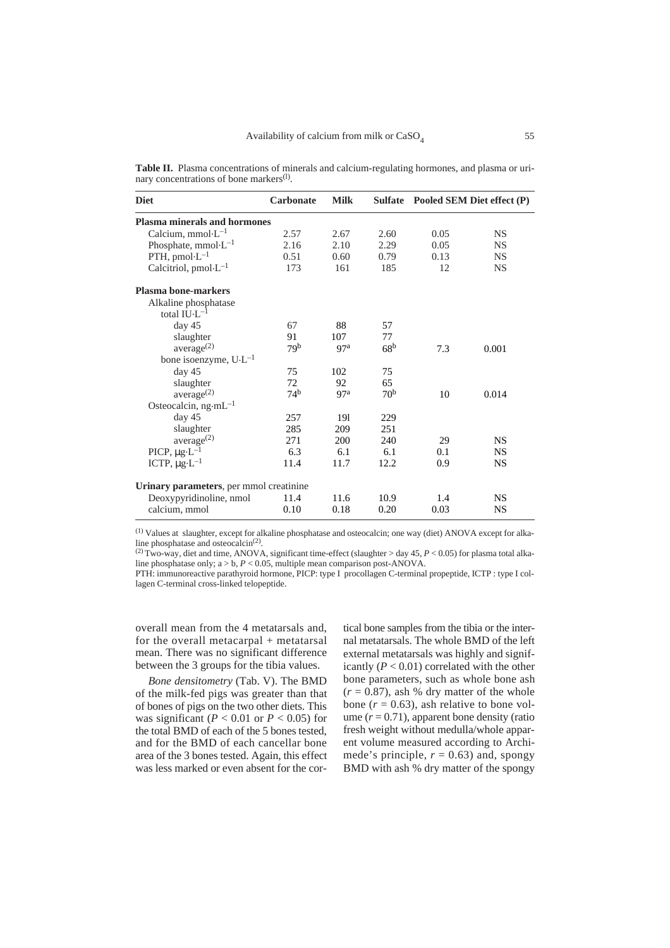| <b>Diet</b>                             | <b>Carbonate</b> | <b>Milk</b> | <b>Sulfate</b>  |      | Pooled SEM Diet effect (P) |
|-----------------------------------------|------------------|-------------|-----------------|------|----------------------------|
| Plasma minerals and hormones            |                  |             |                 |      |                            |
| Calcium, mmol· $L^{-1}$                 | 2.57             | 2.67        | 2.60            | 0.05 | <b>NS</b>                  |
| Phosphate, mmol $\cdot L^{-1}$          | 2.16             | 2.10        | 2.29            | 0.05 | <b>NS</b>                  |
| PTH, pmol $\cdot L^{-1}$                | 0.51             | 0.60        | 0.79            | 0.13 | <b>NS</b>                  |
| Calcitriol, pmol $L^{-1}$               | 173              | 161         | 185             | 12   | <b>NS</b>                  |
| <b>Plasma bone-markers</b>              |                  |             |                 |      |                            |
| Alkaline phosphatase                    |                  |             |                 |      |                            |
| total $\text{H}\cup\text{L}^{-1}$       |                  |             |                 |      |                            |
| day 45                                  | 67               | 88          | 57              |      |                            |
| slaughter                               | 91               | 107         | 77              |      |                            |
| average <sup>(2)</sup>                  | 79 <sup>b</sup>  | 97a         | 68 <sup>b</sup> | 7.3  | 0.001                      |
| bone isoenzyme, $U \cdot L^{-1}$        |                  |             |                 |      |                            |
| day 45                                  | 75               | 102         | 75              |      |                            |
| slaughter                               | 72               | 92          | 65              |      |                            |
| average <sup>(2)</sup>                  | 74 <sup>b</sup>  | 97a         | 70 <sup>b</sup> | 10   | 0.014                      |
| Osteocalcin, $ng·mL^{-1}$               |                  |             |                 |      |                            |
| day 45                                  | 257              | 191         | 229             |      |                            |
| slaughter                               | 285              | 209         | 251             |      |                            |
| average <sup>(2)</sup>                  | 271              | 200         | 240             | 29   | <b>NS</b>                  |
| $PICP, \mu g \cdot L^{-1}$              | 6.3              | 6.1         | 6.1             | 0.1  | <b>NS</b>                  |
| ICTP, $\mu$ g·L <sup>-1</sup>           | 11.4             | 11.7        | 12.2            | 0.9  | <b>NS</b>                  |
| Urinary parameters, per mmol creatinine |                  |             |                 |      |                            |
| Deoxypyridinoline, nmol                 | 11.4             | 11.6        | 10.9            | 1.4  | <b>NS</b>                  |
| calcium, mmol                           | 0.10             | 0.18        | 0.20            | 0.03 | <b>NS</b>                  |

**Table II.** Plasma concentrations of minerals and calcium-regulating hormones, and plasma or urinary concentrations of bone markers<sup>(1)</sup>.

 $(1)$  Values at slaughter, except for alkaline phosphatase and osteocalcin; one way (diet) ANOVA except for alka-<br>line phosphatase and osteocalcin<sup>(2)</sup>.

<sup>(2)</sup> Two-way, diet and time, ANOVA, significant time-effect (slaughter > day 45, *P* < 0.05) for plasma total alkaline phosphatase only; a > b, *P* < 0.05, multiple mean comparison post-ANOVA.

PTH: immunoreactive parathyroid hormone, PICP: type I procollagen C-terminal propeptide, ICTP : type I collagen C-terminal cross-linked telopeptide.

overall mean from the 4 metatarsals and, for the overall metacarpal + metatarsal mean. There was no significant difference between the 3 groups for the tibia values.

*Bone densitometry* (Tab. V). The BMD of the milk-fed pigs was greater than that of bones of pigs on the two other diets. This was significant ( $P < 0.01$  or  $P < 0.05$ ) for the total BMD of each of the 5 bones tested, and for the BMD of each cancellar bone area of the 3 bones tested. Again, this effect was less marked or even absent for the cortical bone samples from the tibia or the internal metatarsals. The whole BMD of the left external metatarsals was highly and significantly  $(P < 0.01)$  correlated with the other bone parameters, such as whole bone ash  $(r = 0.87)$ , ash % dry matter of the whole bone  $(r = 0.63)$ , ash relative to bone volume  $(r = 0.71)$ , apparent bone density (ratio fresh weight without medulla/whole apparent volume measured according to Archimede's principle,  $r = 0.63$ ) and, spongy BMD with ash % dry matter of the spongy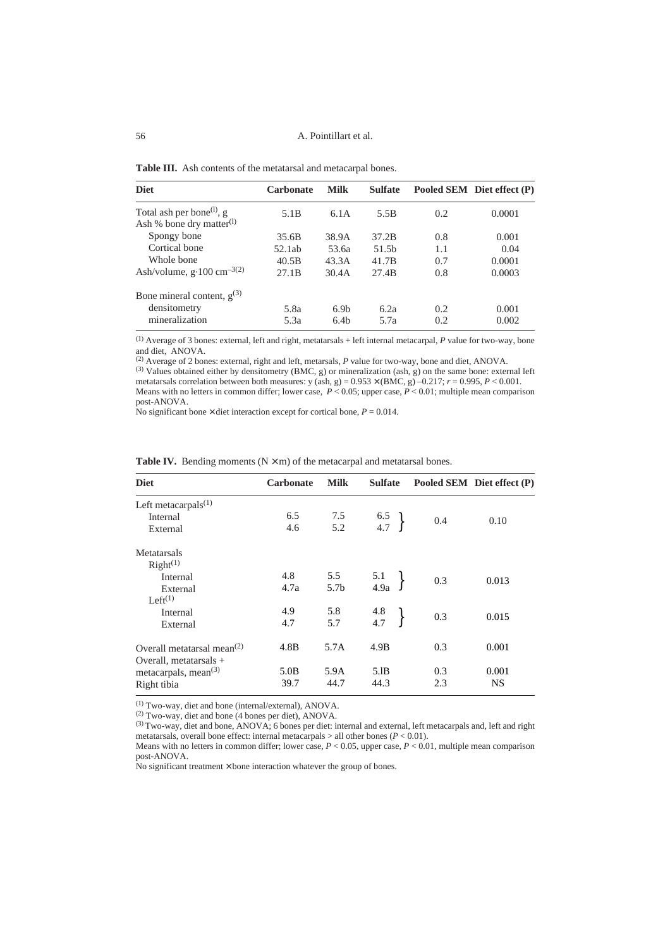### 56 A. Pointillart et al.

| <b>Table III.</b> Ash contents of the metatarsal and metacarpal bones. |  |
|------------------------------------------------------------------------|--|
|------------------------------------------------------------------------|--|

| <b>Diet</b>                                                                   | <b>Carbonate</b>  | <b>Milk</b>      | <b>Sulfate</b>    |     | Pooled SEM Diet effect (P) |
|-------------------------------------------------------------------------------|-------------------|------------------|-------------------|-----|----------------------------|
| Total ash per bone <sup>(1)</sup> , g<br>Ash % bone dry matter <sup>(1)</sup> | 5.1 <sub>B</sub>  | 6.1A             | 5.5 <sub>B</sub>  | 0.2 | 0.0001                     |
| Spongy bone                                                                   | 35.6B             | 38.9A            | 37.2B             | 0.8 | 0.001                      |
| Cortical bone                                                                 | 52.1ab            | 53.6a            | 51.5 <sub>b</sub> | 1.1 | 0.04                       |
| Whole bone                                                                    | 40.5B             | 43.3A            | 41.7B             | 0.7 | 0.0001                     |
| Ash/volume, $g \cdot 100$ cm <sup>-3(2)</sup>                                 | 27.1 <sub>B</sub> | 30.4A            | 27.4B             | 0.8 | 0.0003                     |
| Bone mineral content, $g^{(3)}$                                               |                   |                  |                   |     |                            |
| densitometry                                                                  | 5.8a              | 6.9 <sub>b</sub> | 6.2a              | 0.2 | 0.001                      |
| mineralization                                                                | 5.3a              | 6.4 <sub>b</sub> | 5.7a              | 0.2 | 0.002                      |

(1) Average of 3 bones: external, left and right, metatarsals + left internal metacarpal, *P* value for two-way, bone and diet, ANOVA.

(2) Average of 2 bones: external, right and left, metarsals, *P* value for two-way, bone and diet, ANOVA.

(3) Values obtained either by densitometry (BMC, g) or mineralization (ash, g) on the same bone: external left metatarsals correlation between both measures:  $y (ash, g) = 0.953 \times (BMC, g) -0.217$ ;  $r = 0.995$ ,  $P < 0.001$ . Means with no letters in common differ; lower case,  $P < 0.05$ ; upper case,  $P < 0.01$ ; multiple mean comparison post-ANOVA.

No significant bone  $\times$  diet interaction except for cortical bone,  $P = 0.014$ .

| <b>Diet</b>                                                        | <b>Carbonate</b> | <b>Milk</b>      | <b>Sulfate</b>                            |     | Pooled SEM Diet effect (P) |
|--------------------------------------------------------------------|------------------|------------------|-------------------------------------------|-----|----------------------------|
| Left metacarpals $(1)$                                             |                  |                  |                                           |     |                            |
| Internal                                                           | 6.5              | 7.5              | $\begin{array}{c} 6.5 \\ 4.7 \end{array}$ | 0.4 | 0.10                       |
| External                                                           | 4.6              | 5.2              |                                           |     |                            |
| Metatarsals                                                        |                  |                  |                                           |     |                            |
| Right <sup>(1)</sup>                                               |                  |                  |                                           |     |                            |
| Internal                                                           | 4.8              | 5.5              | $\frac{5.1}{4.9a}$                        | 0.3 | 0.013                      |
| External                                                           | 4.7a             | 5.7 <sub>b</sub> |                                           |     |                            |
| Left $(1)$                                                         |                  |                  |                                           |     |                            |
| Internal                                                           | 4.9              | 5.8              | $\frac{4.8}{4.7}$                         | 0.3 | 0.015                      |
| External                                                           | 4.7              | 5.7              |                                           |     |                            |
| Overall metatarsal mean <sup>(2)</sup><br>Overall, metatarsals $+$ | 4.8B             | 5.7A             | 4.9B                                      | 0.3 | 0.001                      |
| metacarpals, mean <sup>(3)</sup>                                   | 5.0B             | 5.9A             | 5.IB                                      | 0.3 | 0.001                      |
| Right tibia                                                        | 39.7             | 44.7             | 44.3                                      | 2.3 | <b>NS</b>                  |

|  |  | <b>Table IV.</b> Bending moments $(N \times m)$ of the metacarpal and metatarsal bones. |
|--|--|-----------------------------------------------------------------------------------------|
|  |  |                                                                                         |

(1) Two-way, diet and bone (internal/external), ANOVA.

(2) Two-way, diet and bone (4 bones per diet), ANOVA.

 $(3)$  Two-way, diet and bone, ANOVA; 6 bones per diet: internal and external, left metacarpals and, left and right metatarsals, overall bone effect: internal metacarpals > all other bones (*P* < 0.01).

Means with no letters in common differ; lower case, *P* < 0.05, upper case, *P* < 0.01, multiple mean comparison post-ANOVA.

No significant treatment  $\times$  bone interaction whatever the group of bones.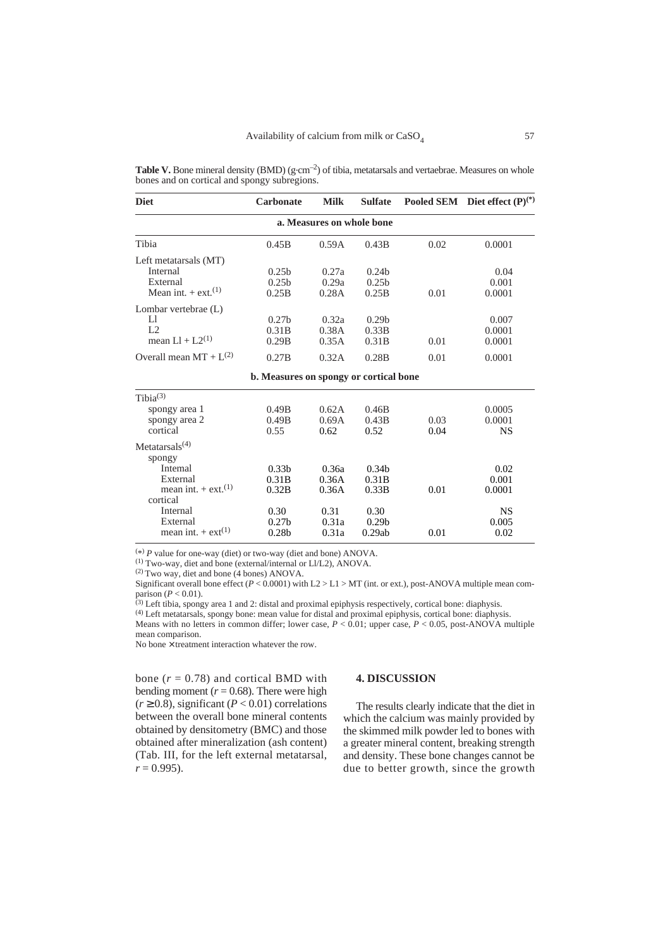**Table V.** Bone mineral density (BMD) (g.cm<sup>-2</sup>) of tibia, metatarsals and vertaebrae. Measures on whole bones and on cortical and spongy subregions.

| <b>Diet</b>                             | <b>Carbonate</b>                       | <b>Milk</b>               | <b>Sulfate</b>    |      | Pooled SEM Diet effect $(P)^{(*)}$ |
|-----------------------------------------|----------------------------------------|---------------------------|-------------------|------|------------------------------------|
|                                         |                                        | a. Measures on whole bone |                   |      |                                    |
| Tibia                                   | 0.45B                                  | 0.59A                     | 0.43B             | 0.02 | 0.0001                             |
| Left metatarsals (MT)                   |                                        |                           |                   |      |                                    |
| Internal                                | 0.25 <sub>b</sub>                      | 0.27a                     | 0.24 <sub>b</sub> |      | 0.04                               |
| External                                | 0.25 <sub>b</sub>                      | 0.29a                     | 0.25 <sub>b</sub> |      | 0.001                              |
| Mean int. $+$ ext. <sup>(1)</sup>       | 0.25B                                  | 0.28A                     | 0.25B             | 0.01 | 0.0001                             |
| Lombar vertebrae (L)                    |                                        |                           |                   |      |                                    |
| IJ                                      | 0.27 <sub>b</sub>                      | 0.32a                     | 0.29 <sub>b</sub> |      | 0.007                              |
| L <sub>2</sub>                          | 0.31B                                  | 0.38A                     | 0.33B             |      | 0.0001                             |
| mean $LI + L2^{(1)}$                    | 0.29B                                  | 0.35A                     | 0.31B             | 0.01 | 0.0001                             |
| Overall mean $MT + L^{(2)}$             | 0.27B                                  | 0.32A                     | 0.28B             | 0.01 | 0.0001                             |
|                                         | b. Measures on spongy or cortical bone |                           |                   |      |                                    |
| Tibi $a^{(3)}$                          |                                        |                           |                   |      |                                    |
| spongy area 1                           | 0.49B                                  | 0.62A                     | 0.46B             |      | 0.0005                             |
| spongy area 2                           | 0.49B                                  | 0.69A                     | 0.43B             | 0.03 | 0.0001                             |
| cortical                                | 0.55                                   | 0.62                      | 0.52              | 0.04 | <b>NS</b>                          |
| Metatarsals <sup><math>(4)</math></sup> |                                        |                           |                   |      |                                    |
| spongy                                  |                                        |                           |                   |      |                                    |
| Intemal                                 | 0.33 <sub>b</sub>                      | 0.36a                     | 0.34 <sub>b</sub> |      | 0.02                               |
| External                                | 0.31B                                  | 0.36A                     | 0.31B             |      | 0.001                              |
| mean int. $+$ ext. <sup>(1)</sup>       | 0.32B                                  | 0.36A                     | 0.33B             | 0.01 | 0.0001                             |
| cortical                                |                                        |                           |                   |      |                                    |
| Internal                                | 0.30                                   | 0.31                      | 0.30              |      | <b>NS</b>                          |
| External                                | 0.27 <sub>b</sub>                      | 0.31a                     | 0.29 <sub>b</sub> |      | 0.005                              |
| mean int. $+$ ext <sup>(1)</sup>        | 0.28 <sub>b</sub>                      | 0.31a                     | 0.29ab            | 0.01 | 0.02                               |

( \*) *P* value for one-way (diet) or two-way (diet and bone) ANOVA.

(1) Two-way, diet and bone (external/internal or Ll/L2), ANOVA.

 $(2)$  Two way, diet and bone (4 bones) ANOVA.

Significant overall bone effect ( $P < 0.0001$ ) with L2 > L1 > MT (int. or ext.), post-ANOVA multiple mean comparison  $(P < 0.01)$ .

 $^{(3)}$  Left tibia, spongy area 1 and 2: distal and proximal epiphysis respectively, cortical bone: diaphysis.

(4) Left metatarsals, spongy bone: mean value for distal and proximal epiphysis, cortical bone: diaphysis. Means with no letters in common differ; lower case, *P* < 0.01; upper case, *P* < 0.05, post-ANOVA multiple mean comparison.

No bone  $\times$  treatment interaction whatever the row.

bone  $(r = 0.78)$  and cortical BMD with bending moment ( $r = 0.68$ ). There were high  $(r \ge 0.8)$ , significant  $(P < 0.01)$  correlations between the overall bone mineral contents obtained by densitometry (BMC) and those obtained after mineralization (ash content) (Tab. III, for the left external metatarsal,  $r = 0.995$ .

## **4. DISCUSSION**

The results clearly indicate that the diet in which the calcium was mainly provided by the skimmed milk powder led to bones with a greater mineral content, breaking strength and density. These bone changes cannot be due to better growth, since the growth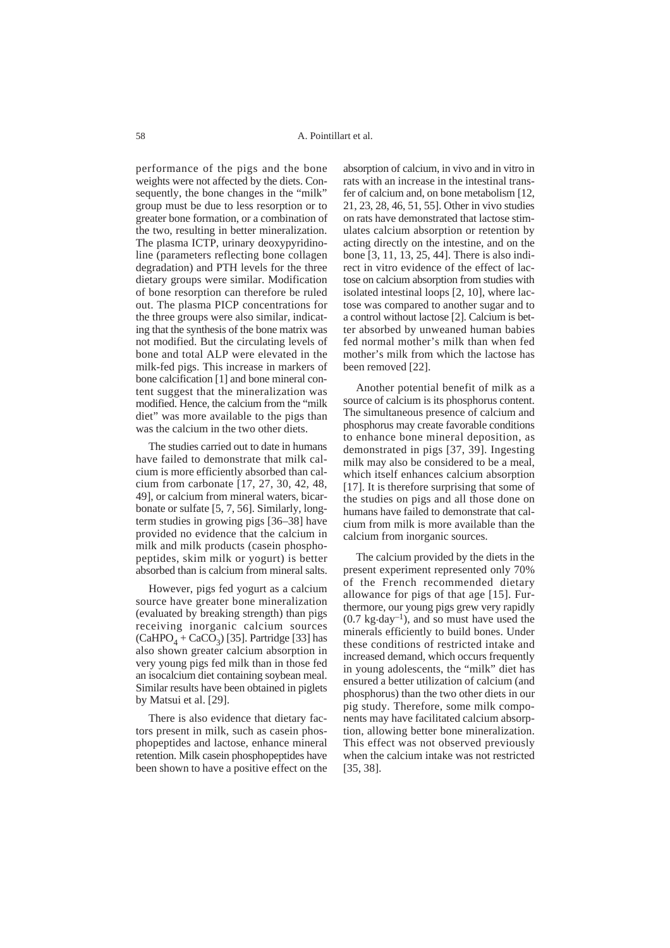performance of the pigs and the bone weights were not affected by the diets. Consequently, the bone changes in the "milk" group must be due to less resorption or to greater bone formation, or a combination of the two, resulting in better mineralization. The plasma ICTP, urinary deoxypyridinoline (parameters reflecting bone collagen degradation) and PTH levels for the three dietary groups were similar. Modification of bone resorption can therefore be ruled out. The plasma PICP concentrations for the three groups were also similar, indicating that the synthesis of the bone matrix was not modified. But the circulating levels of bone and total ALP were elevated in the milk-fed pigs. This increase in markers of bone calcification [1] and bone mineral content suggest that the mineralization was modified. Hence, the calcium from the "milk diet" was more available to the pigs than was the calcium in the two other diets.

The studies carried out to date in humans have failed to demonstrate that milk calcium is more efficiently absorbed than calcium from carbonate [17, 27, 30, 42, 48, 49], or calcium from mineral waters, bicarbonate or sulfate [5, 7, 56]. Similarly, longterm studies in growing pigs [36–38] have provided no evidence that the calcium in milk and milk products (casein phosphopeptides, skim milk or yogurt) is better absorbed than is calcium from mineral salts.

However, pigs fed yogurt as a calcium source have greater bone mineralization (evaluated by breaking strength) than pigs receiving inorganic calcium sources  $(CaHPO<sub>4</sub> + CaCO<sub>3</sub>)$  [35]. Partridge [33] has also shown greater calcium absorption in very young pigs fed milk than in those fed an isocalcium diet containing soybean meal. Similar results have been obtained in piglets by Matsui et al. [29].

There is also evidence that dietary factors present in milk, such as casein phosphopeptides and lactose, enhance mineral retention. Milk casein phosphopeptides have been shown to have a positive effect on the

absorption of calcium, in vivo and in vitro in rats with an increase in the intestinal transfer of calcium and, on bone metabolism [12, 21, 23, 28, 46, 51, 55]. Other in vivo studies on rats have demonstrated that lactose stimulates calcium absorption or retention by acting directly on the intestine, and on the bone [3, 11, 13, 25, 44]. There is also indirect in vitro evidence of the effect of lactose on calcium absorption from studies with isolated intestinal loops [2, 10], where lactose was compared to another sugar and to a control without lactose [2]. Calcium is better absorbed by unweaned human babies fed normal mother's milk than when fed mother's milk from which the lactose has been removed [22].

Another potential benefit of milk as a source of calcium is its phosphorus content. The simultaneous presence of calcium and phosphorus may create favorable conditions to enhance bone mineral deposition, as demonstrated in pigs [37, 39]. Ingesting milk may also be considered to be a meal, which itself enhances calcium absorption [17]. It is therefore surprising that some of the studies on pigs and all those done on humans have failed to demonstrate that calcium from milk is more available than the calcium from inorganic sources.

The calcium provided by the diets in the present experiment represented only 70% of the French recommended dietary allowance for pigs of that age [15]. Furthermore, our young pigs grew very rapidly  $(0.7 \text{ kg-day}^{-1})$ , and so must have used the minerals efficiently to build bones. Under these conditions of restricted intake and increased demand, which occurs frequently in young adolescents, the "milk" diet has ensured a better utilization of calcium (and phosphorus) than the two other diets in our pig study. Therefore, some milk components may have facilitated calcium absorption, allowing better bone mineralization. This effect was not observed previously when the calcium intake was not restricted [35, 38].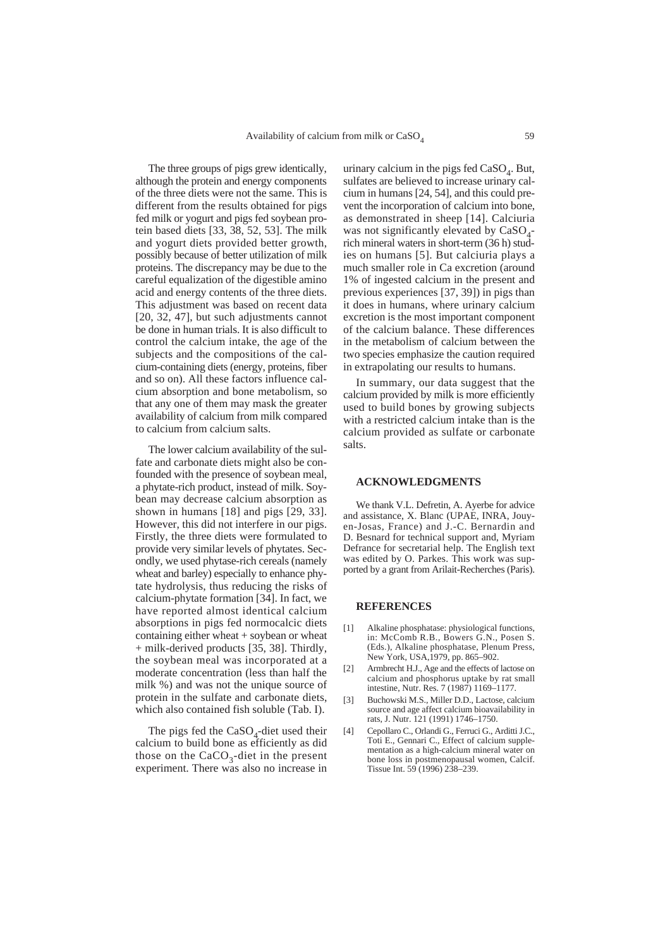The three groups of pigs grew identically, although the protein and energy components of the three diets were not the same. This is different from the results obtained for pigs fed milk or yogurt and pigs fed soybean protein based diets [33, 38, 52, 53]. The milk and yogurt diets provided better growth, possibly because of better utilization of milk proteins. The discrepancy may be due to the careful equalization of the digestible amino acid and energy contents of the three diets. This adjustment was based on recent data [20, 32, 47], but such adjustments cannot be done in human trials. It is also difficult to control the calcium intake, the age of the subjects and the compositions of the calcium-containing diets (energy, proteins, fiber and so on). All these factors influence calcium absorption and bone metabolism, so that any one of them may mask the greater availability of calcium from milk compared to calcium from calcium salts.

The lower calcium availability of the sulfate and carbonate diets might also be confounded with the presence of soybean meal, a phytate-rich product, instead of milk. Soybean may decrease calcium absorption as shown in humans [18] and pigs [29, 33]. However, this did not interfere in our pigs. Firstly, the three diets were formulated to provide very similar levels of phytates. Secondly, we used phytase-rich cereals (namely wheat and barley) especially to enhance phytate hydrolysis, thus reducing the risks of calcium-phytate formation [34]. In fact, we have reported almost identical calcium absorptions in pigs fed normocalcic diets containing either wheat + soybean or wheat + milk-derived products [35, 38]. Thirdly, the soybean meal was incorporated at a moderate concentration (less than half the milk %) and was not the unique source of protein in the sulfate and carbonate diets, which also contained fish soluble (Tab. I).

The pigs fed the  $CaSO<sub>4</sub>$ -diet used their calcium to build bone as efficiently as did those on the CaCO<sub>3</sub>-diet in the present experiment. There was also no increase in

urinary calcium in the pigs fed  $CaSO<sub>4</sub>$ . But, sulfates are believed to increase urinary calcium in humans [24, 54], and this could prevent the incorporation of calcium into bone, as demonstrated in sheep [14]. Calciuria was not significantly elevated by  $CaSO<sub>4</sub>$ rich mineral waters in short-term (36 h) studies on humans [5]. But calciuria plays a much smaller role in Ca excretion (around 1% of ingested calcium in the present and previous experiences [37, 39]) in pigs than it does in humans, where urinary calcium excretion is the most important component of the calcium balance. These differences in the metabolism of calcium between the two species emphasize the caution required in extrapolating our results to humans.

In summary, our data suggest that the calcium provided by milk is more efficiently used to build bones by growing subjects with a restricted calcium intake than is the calcium provided as sulfate or carbonate salts.

### **ACKNOWLEDGMENTS**

We thank V.L. Defretin, A. Ayerbe for advice and assistance, X. Blanc (UPAE, INRA, Jouyen-Josas, France) and J.-C. Bernardin and D. Besnard for technical support and, Myriam Defrance for secretarial help. The English text was edited by O. Parkes. This work was supported by a grant from Arilait-Recherches (Paris).

### **REFERENCES**

- [1] Alkaline phosphatase: physiological functions, in: McComb R.B., Bowers G.N., Posen S. (Eds.), Alkaline phosphatase, Plenum Press, New York, USA,1979, pp. 865–902.
- [2] Armbrecht H.J., Age and the effects of lactose on calcium and phosphorus uptake by rat small intestine, Nutr. Res. 7 (1987) 1169–1177.
- [3] Buchowski M.S., Miller D.D., Lactose, calcium source and age affect calcium bioavailability in rats, J. Nutr. 121 (1991) 1746–1750.
- [4] Cepollaro C., Orlandi G., Ferruci G., Arditti J.C., Toti E., Gennari C., Effect of calcium supplementation as a high-calcium mineral water on bone loss in postmenopausal women, Calcif. Tissue Int. 59 (1996) 238–239.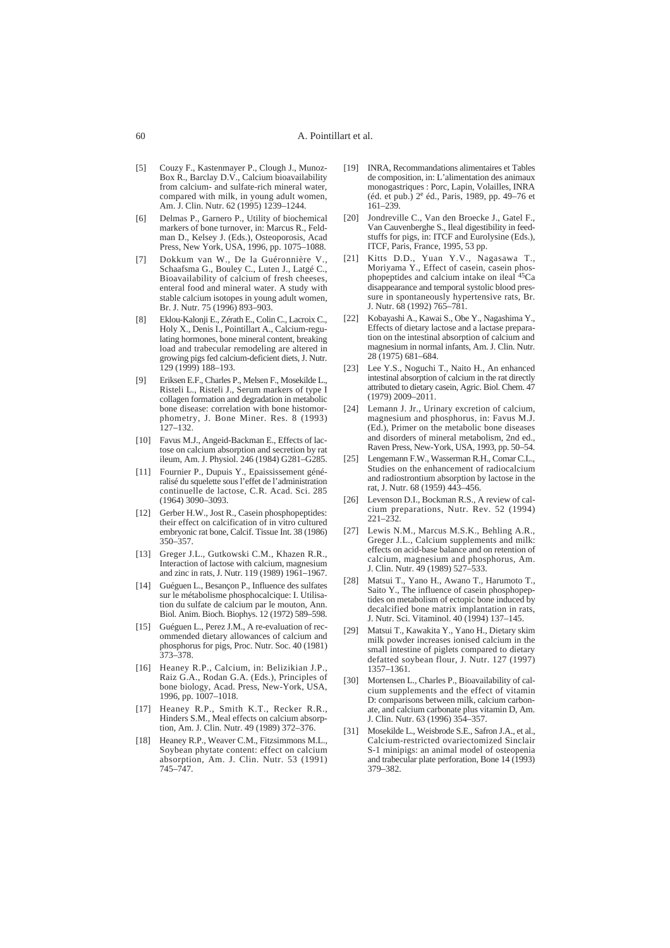- [5] Couzy F., Kastenmayer P., Clough J., Munoz-Box R., Barclay D.V., Calcium bioavailability from calcium- and sulfate-rich mineral water, compared with milk, in young adult women, Am. J. Clin. Nutr. 62 (1995) 1239–1244.
- [6] Delmas P., Garnero P., Utility of biochemical markers of bone turnover, in: Marcus R., Feldman D., Kelsey J. (Eds.), Osteoporosis, Acad Press, New York, USA, 1996, pp. 1075–1088.
- [7] Dokkum van W., De la Guéronnière V., Schaafsma G., Bouley C., Luten J., Latgé C., Bioavailability of calcium of fresh cheeses, enteral food and mineral water. A study with stable calcium isotopes in young adult women, Br. J. Nutr. 75 (1996) 893–903.
- [8] Eklou-Kalonji E., Zérath E., Colin C., Lacroix C., Holy X., Denis I., Pointillart A., Calcium-regulating hormones, bone mineral content, breaking load and trabecular remodeling are altered in growing pigs fed calcium-deficient diets, J. Nutr. 129 (1999) 188–193.
- [9] Eriksen E.F., Charles P., Melsen F., Mosekilde L., Risteli L., Risteli J., Serum markers of type I collagen formation and degradation in metabolic bone disease: correlation with bone histomorphometry, J. Bone Miner. Res. 8 (1993)  $127 - 132$
- [10] Favus M.J., Angeid-Backman E., Effects of lactose on calcium absorption and secretion by rat ileum, Am. J. Physiol. 246 (1984) G281–G285.
- [11] Fournier P., Dupuis Y., Epaississement généralisé du squelette sous l'effet de l'administration continuelle de lactose, C.R. Acad. Sci. 285 (1964) 3090–3093.
- [12] Gerber H.W., Jost R., Casein phosphopeptides: their effect on calcification of in vitro cultured embryonic rat bone, Calcif. Tissue Int. 38 (1986) 350–357.
- [13] Greger J.L., Gutkowski C.M., Khazen R.R., Interaction of lactose with calcium, magnesium and zinc in rats, J. Nutr. 119 (1989) 1961–1967.
- [14] Guéguen L., Besançon P., Influence des sulfates sur le métabolisme phosphocalcique: I. Utilisation du sulfate de calcium par le mouton, Ann. Biol. Anim. Bioch. Biophys. 12 (1972) 589–598.
- [15] Guéguen L., Perez J.M., A re-evaluation of recommended dietary allowances of calcium and phosphorus for pigs, Proc. Nutr. Soc. 40 (1981) 373–378.
- [16] Heaney R.P., Calcium, in: Belizikian J.P., Raiz G.A., Rodan G.A. (Eds.), Principles of bone biology, Acad. Press, New-York, USA, 1996, pp. 1007–1018.
- [17] Heaney R.P., Smith K.T., Recker R.R., Hinders S.M., Meal effects on calcium absorption, Am. J. Clin. Nutr. 49 (1989) 372–376.
- [18] Heaney R.P., Weaver C.M., Fitzsimmons M.L., Soybean phytate content: effect on calcium absorption, Am. J. Clin. Nutr. 53 (1991) 745–747.
- [19] INRA, Recommandations alimentaires et Tables de composition, in: L'alimentation des animaux monogastriques : Porc, Lapin, Volailles, INRA (éd. et pub.) 2<sup>e</sup> éd., Paris, 1989, pp. 49–76 et 161–239.
- [20] Jondreville C., Van den Broecke J., Gatel F., Van Cauvenberghe S., Ileal digestibility in feedstuffs for pigs, in: ITCF and Eurolysine (Eds.), ITCF, Paris, France, 1995, 53 pp.
- [21] Kitts D.D., Yuan Y.V., Nagasawa T., Moriyama Y., Effect of casein, casein phosphopeptides and calcium intake on ileal 45Ca disappearance and temporal systolic blood pressure in spontaneously hypertensive rats, Br. J. Nutr. 68 (1992) 765–781.
- [22] Kobayashi A., Kawai S., Obe Y., Nagashima Y., Effects of dietary lactose and a lactase preparation on the intestinal absorption of calcium and magnesium in normal infants, Am. J. Clin. Nutr. 28 (1975) 681–684.
- [23] Lee Y.S., Noguchi T., Naito H., An enhanced intestinal absorption of calcium in the rat directly attributed to dietary casein, Agric. Biol. Chem. 47 (1979) 2009–2011.
- [24] Lemann J. Jr., Urinary excretion of calcium, magnesium and phosphorus, in: Favus M.J. (Ed.), Primer on the metabolic bone diseases and disorders of mineral metabolism, 2nd ed., Raven Press, New-York, USA, 1993, pp. 50–54.
- [25] Lengemann F.W., Wasserman R.H., Comar C.L., Studies on the enhancement of radiocalcium and radiostrontium absorption by lactose in the rat, J. Nutr. 68 (1959) 443–456.
- [26] Levenson D.I., Bockman R.S., A review of calcium preparations, Nutr. Rev. 52 (1994) 221–232.
- [27] Lewis N.M., Marcus M.S.K., Behling A.R., Greger J.L., Calcium supplements and milk: effects on acid-base balance and on retention of calcium, magnesium and phosphorus, Am. J. Clin. Nutr. 49 (1989) 527–533.
- [28] Matsui T., Yano H., Awano T., Harumoto T., Saito Y., The influence of casein phosphopeptides on metabolism of ectopic bone induced by decalcified bone matrix implantation in rats, J. Nutr. Sci. Vitaminol. 40 (1994) 137–145.
- [29] Matsui T., Kawakita Y., Yano H., Dietary skim milk powder increases ionised calcium in the small intestine of piglets compared to dietary defatted soybean flour, J. Nutr. 127 (1997) 1357–1361.
- [30] Mortensen L., Charles P., Bioavailability of calcium supplements and the effect of vitamin D: comparisons between milk, calcium carbonate, and calcium carbonate plus vitamin D, Am. J. Clin. Nutr. 63 (1996) 354–357.
- [31] Mosekilde L., Weisbrode S.E., Safron J.A., et al., Calcium-restricted ovariectomized Sinclair S-1 minipigs: an animal model of osteopenia and trabecular plate perforation, Bone 14 (1993) 379–382.